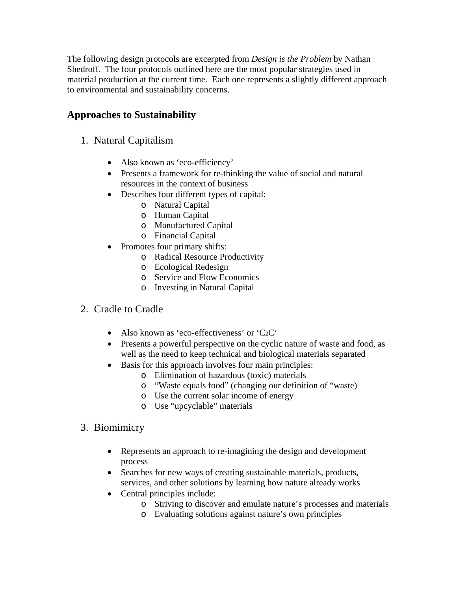The following design protocols are excerpted from *Design is the Problem* by Nathan Shedroff. The four protocols outlined here are the most popular strategies used in material production at the current time. Each one represents a slightly different approach to environmental and sustainability concerns.

# **Approaches to Sustainability**

## 1. Natural Capitalism

- Also known as 'eco-efficiency'
- Presents a framework for re-thinking the value of social and natural resources in the context of business
- Describes four different types of capital:
	- o Natural Capital
	- o Human Capital
	- o Manufactured Capital
	- o Financial Capital
- Promotes four primary shifts:
	- o Radical Resource Productivity
	- o Ecological Redesign
	- o Service and Flow Economics
	- o Investing in Natural Capital

#### 2. Cradle to Cradle

- Also known as 'eco-effectiveness' or 'C2C'
- Presents a powerful perspective on the cyclic nature of waste and food, as well as the need to keep technical and biological materials separated
- Basis for this approach involves four main principles:
	- o Elimination of hazardous (toxic) materials
	- o "Waste equals food" (changing our definition of "waste)
	- o Use the current solar income of energy
	- o Use "upcyclable" materials

#### 3. Biomimicry

- Represents an approach to re-imagining the design and development process
- Searches for new ways of creating sustainable materials, products, services, and other solutions by learning how nature already works
- Central principles include:
	- o Striving to discover and emulate nature's processes and materials
	- o Evaluating solutions against nature's own principles